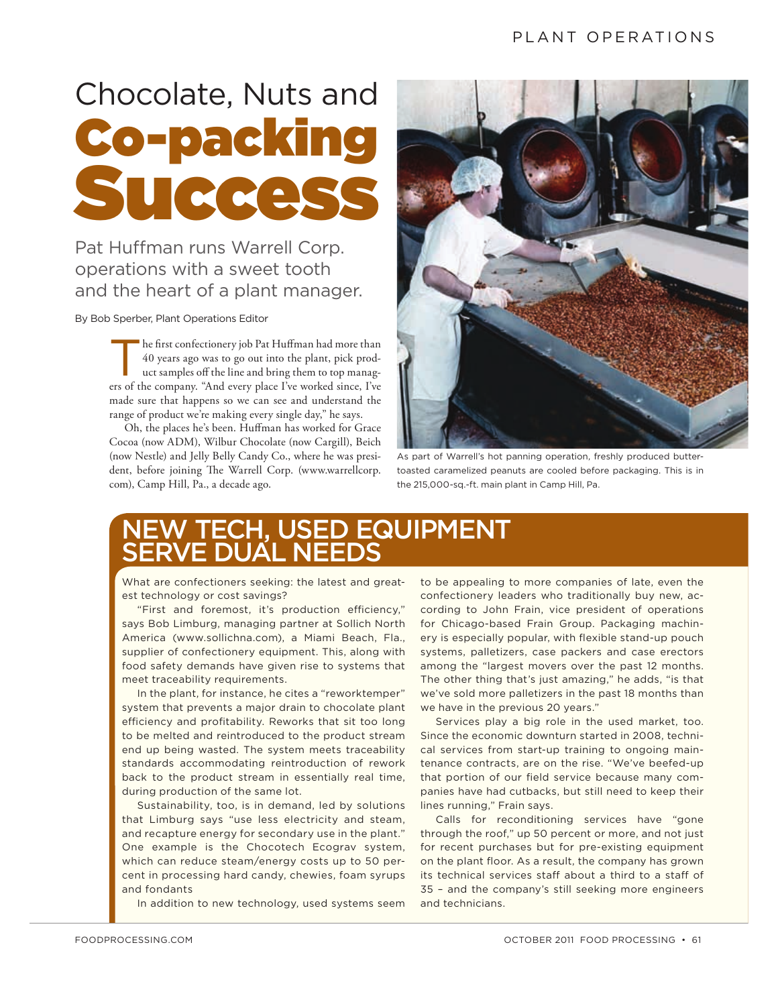# Chocolate, Nuts and Co-packing Succe

Pat Huffman runs Warrell Corp. operations with a sweet tooth and the heart of a plant manager.

By Bob Sperber, Plant Operations Editor

The first confectionery job Pat Huffman had more than 40 years ago was to go out into the plant, pick product samples off the line and bring them to top manag-<br>un of the samples off the line and bring them to top manag-40 years ago was to go out into the plant, pick proders of the company. "And every place I've worked since, I've made sure that happens so we can see and understand the range of product we're making every single day," he says.

Oh, the places he's been. Huffman has worked for Grace Cocoa (now ADM), Wilbur Chocolate (now Cargill), Beich (now Nestle) and Jelly Belly Candy Co., where he was president, before joining The Warrell Corp. (www.warrellcorp. com), Camp Hill, Pa., a decade ago.



As part of Warrell's hot panning operation, freshly produced buttertoasted caramelized peanuts are cooled before packaging. This is in the 215,000-sq.-ft. main plant in Camp Hill, Pa.

## NEW TECH, USED EQUIPMENT SERVE DUAL NEEDS

What are confectioners seeking: the latest and greatest technology or cost savings?

"First and foremost, it's production efficiency," says Bob Limburg, managing partner at Sollich North America (www.sollichna.com), a Miami Beach, Fla., supplier of confectionery equipment. This, along with food safety demands have given rise to systems that meet traceability requirements.

In the plant, for instance, he cites a "reworktemper" system that prevents a major drain to chocolate plant efficiency and profitability. Reworks that sit too long to be melted and reintroduced to the product stream end up being wasted. The system meets traceability standards accommodating reintroduction of rework back to the product stream in essentially real time, during production of the same lot.

Sustainability, too, is in demand, led by solutions that Limburg says "use less electricity and steam, and recapture energy for secondary use in the plant." One example is the Chocotech Ecograv system, which can reduce steam/energy costs up to 50 percent in processing hard candy, chewies, foam syrups and fondants

In addition to new technology, used systems seem

to be appealing to more companies of late, even the confectionery leaders who traditionally buy new, according to John Frain, vice president of operations for Chicago-based Frain Group. Packaging machinery is especially popular, with flexible stand-up pouch systems, palletizers, case packers and case erectors among the "largest movers over the past 12 months. The other thing that's just amazing," he adds, "is that we've sold more palletizers in the past 18 months than we have in the previous 20 years."

Services play a big role in the used market, too. Since the economic downturn started in 2008, technical services from start-up training to ongoing maintenance contracts, are on the rise. "We've beefed-up that portion of our field service because many companies have had cutbacks, but still need to keep their lines running," Frain says.

Calls for reconditioning services have "gone through the roof," up 50 percent or more, and not just for recent purchases but for pre-existing equipment on the plant floor. As a result, the company has grown its technical services staff about a third to a staff of 35 – and the company's still seeking more engineers and technicians.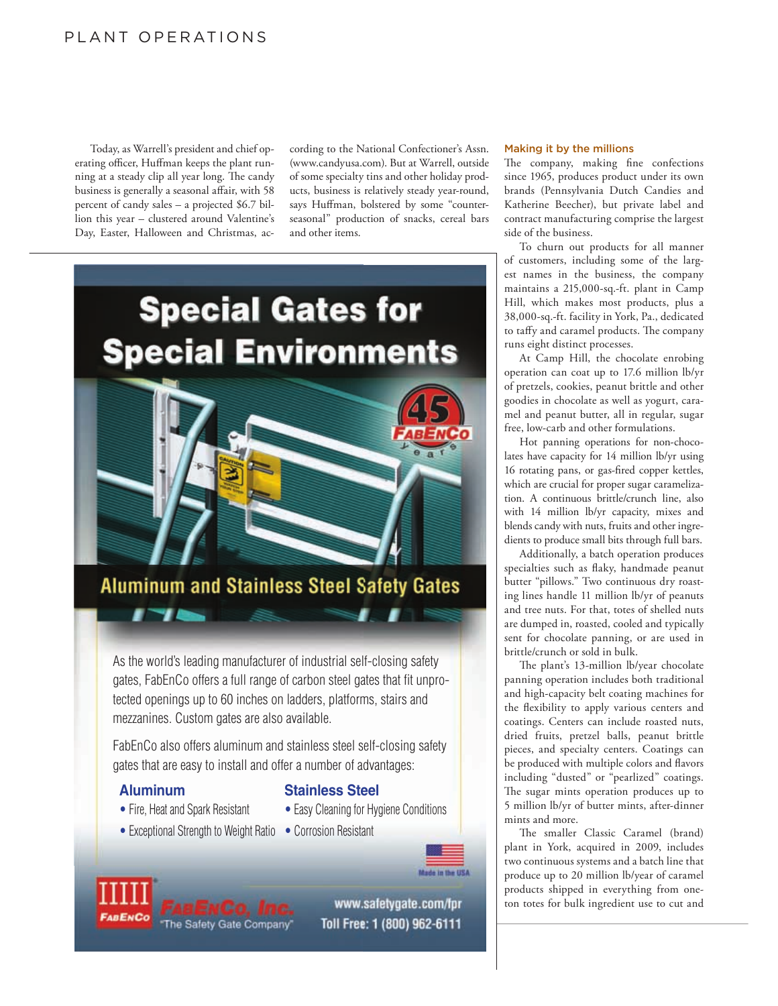#### PLANT OPERATIONS

Today, as Warrell's president and chief operating officer, Huffman keeps the plant running at a steady clip all year long. The candy business is generally a seasonal affair, with 58 percent of candy sales – a projected \$6.7 billion this year – clustered around Valentine's Day, Easter, Halloween and Christmas, ac-

cording to the National Confectioner's Assn. (www.candyusa.com). But at Warrell, outside of some specialty tins and other holiday products, business is relatively steady year-round, says Huffman, bolstered by some "counterseasonal" production of snacks, cereal bars and other items.



As the world's leading manufacturer of industrial self-closing safety gates, FabEnCo offers a full range of carbon steel gates that fit unprotected openings up to 60 inches on ladders, platforms, stairs and mezzanines. Custom gates are also available.

FabEnCo also offers aluminum and stainless steel self-closing safety gates that are easy to install and offer a number of advantages:

, 71

#### **Aluminum Stainless Steel**

- Fire, Heat and Spark Resistant Easy Cleaning for Hygiene Conditions
	-





www.safetygate.com/fpr Toll Free: 1 (800) 962-6111

#### Making it by the millions

The company, making fine confections since 1965, produces product under its own brands (Pennsylvania Dutch Candies and Katherine Beecher), but private label and contract manufacturing comprise the largest side of the business.

To churn out products for all manner of customers, including some of the largest names in the business, the company maintains a 215,000-sq.-ft. plant in Camp Hill, which makes most products, plus a 38,000-sq.-ft. facility in York, Pa., dedicated to taffy and caramel products. The company runs eight distinct processes.

At Camp Hill, the chocolate enrobing operation can coat up to 17.6 million lb/yr of pretzels, cookies, peanut brittle and other goodies in chocolate as well as yogurt, caramel and peanut butter, all in regular, sugar free, low-carb and other formulations.

Hot panning operations for non-chocolates have capacity for 14 million lb/yr using 16 rotating pans, or gas-fired copper kettles, which are crucial for proper sugar caramelization. A continuous brittle/crunch line, also with 14 million lb/yr capacity, mixes and blends candy with nuts, fruits and other ingredients to produce small bits through full bars.

Additionally, a batch operation produces specialties such as flaky, handmade peanut butter "pillows." Two continuous dry roasting lines handle 11 million lb/yr of peanuts and tree nuts. For that, totes of shelled nuts are dumped in, roasted, cooled and typically sent for chocolate panning, or are used in brittle/crunch or sold in bulk.

The plant's 13-million lb/year chocolate panning operation includes both traditional and high-capacity belt coating machines for the flexibility to apply various centers and coatings. Centers can include roasted nuts, dried fruits, pretzel balls, peanut brittle pieces, and specialty centers. Coatings can be produced with multiple colors and flavors including "dusted" or "pearlized" coatings. The sugar mints operation produces up to 5 million lb/yr of butter mints, after-dinner mints and more.

The smaller Classic Caramel (brand) plant in York, acquired in 2009, includes two continuous systems and a batch line that produce up to 20 million lb/year of caramel products shipped in everything from oneton totes for bulk ingredient use to cut and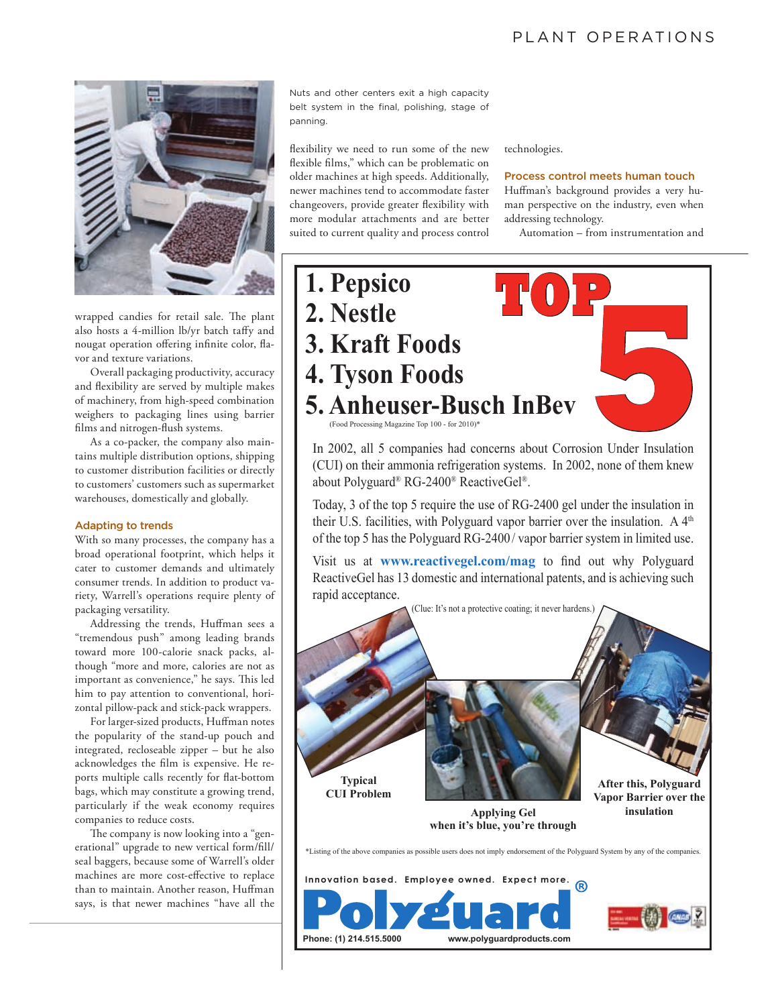#### PLANT OPERATIONS



wrapped candies for retail sale. The plant also hosts a 4-million lb/yr batch taffy and nougat operation offering infinite color, flavor and texture variations.

Overall packaging productivity, accuracy and flexibility are served by multiple makes of machinery, from high-speed combination weighers to packaging lines using barrier films and nitrogen-flush systems.

As a co-packer, the company also maintains multiple distribution options, shipping to customer distribution facilities or directly to customers' customers such as supermarket warehouses, domestically and globally.

#### Adapting to trends

With so many processes, the company has a broad operational footprint, which helps it cater to customer demands and ultimately consumer trends. In addition to product variety, Warrell's operations require plenty of packaging versatility.

Addressing the trends, Huffman sees a "tremendous push" among leading brands toward more 100-calorie snack packs, although "more and more, calories are not as important as convenience," he says. This led him to pay attention to conventional, horizontal pillow-pack and stick-pack wrappers.

For larger-sized products, Huffman notes the popularity of the stand-up pouch and integrated, recloseable zipper – but he also acknowledges the film is expensive. He reports multiple calls recently for flat-bottom bags, which may constitute a growing trend, particularly if the weak economy requires companies to reduce costs.

The company is now looking into a "generational" upgrade to new vertical form/fill/ seal baggers, because some of Warrell's older machines are more cost-effective to replace than to maintain. Another reason, Huffman says, is that newer machines "have all the

Nuts and other centers exit a high capacity belt system in the final, polishing, stage of panning.

flexibility we need to run some of the new flexible films," which can be problematic on older machines at high speeds. Additionally, newer machines tend to accommodate faster changeovers, provide greater flexibility with more modular attachments and are better suited to current quality and process control technologies.

#### Process control meets human touch

Huffman's background provides a very human perspective on the industry, even when addressing technology.

Automation – from instrumentation and

# 1. Pepsico **2.** Nestle **3. Kraft Foods 4. Tyson Foods 5. Anheuser-Busch InBev**  $(Food Processing Magazine$  Top 100 - for 2010)<sup>\*</sup> **12023**<br> **123**<br> **1233**<br> **1233**<br> **1233**<br> **1233**<br> **1233**<br> **1233**<br> **1233**<br> **1233**<br> **1233**<br> **1233**<br> **1243**<br> **1243**<br> **1243**<br> **1253**<br> **1253**<br> **1253**<br> **1253**

In 2002, all 5 companies had concerns about Corrosion Under Insulation (CUI) on their ammonia refrigeration systems. In 2002, none of them knew about Polyguard® RG-2400® ReactiveGel®.

Today, 3 of the top 5 require the use of RG-2400 gel under the insulation in their U.S. facilities, with Polyguard vapor barrier over the insulation. A 4<sup>th</sup> of the top 5 has the Polyguard RG-2400/vapor barrier system in limited use.

Visit us at **www.reactivegel.com/mag** to find out why Polyguard ReactiveGel has 13 domestic and international patents, and is achieving such rapid acceptance.



Phone: (1) 214.515.5000 www.polyguardproducts.com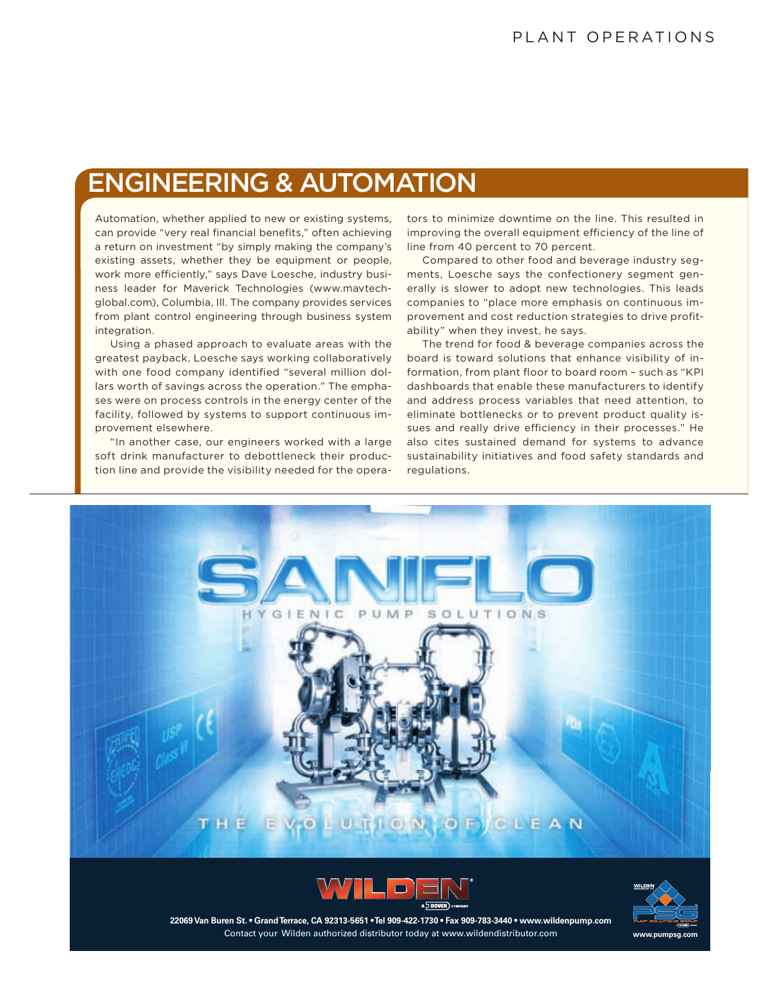# ENGINEERING & AUTOMATION

Automation, whether applied to new or existing systems, can provide "very real financial benefits," often achieving a return on investment "by simply making the company's existing assets, whether they be equipment or people, work more efficiently," says Dave Loesche, industry business leader for Maverick Technologies (www.mavtechglobal.com), Columbia, Ill. The company provides services from plant control engineering through business system integration.

Using a phased approach to evaluate areas with the greatest payback, Loesche says working collaboratively with one food company identified "several million dollars worth of savings across the operation." The emphases were on process controls in the energy center of the facility, followed by systems to support continuous improvement elsewhere.

"In another case, our engineers worked with a large soft drink manufacturer to debottleneck their production line and provide the visibility needed for the operators to minimize downtime on the line. This resulted in improving the overall equipment efficiency of the line of line from 40 percent to 70 percent.

Compared to other food and beverage industry segments, Loesche says the confectionery segment generally is slower to adopt new technologies. This leads companies to "place more emphasis on continuous improvement and cost reduction strategies to drive profitability" when they invest, he says.

The trend for food & beverage companies across the board is toward solutions that enhance visibility of information, from plant floor to board room – such as "KPI dashboards that enable these manufacturers to identify and address process variables that need attention, to eliminate bottlenecks or to prevent product quality issues and really drive efficiency in their processes." He also cites sustained demand for systems to advance sustainability initiatives and food safety standards and regulations.







Contact your Wilden authorized distributor today at www.wildendistributor.com 22069 Van Buren St. • Grand Terrace, CA 92313-5651 • Tel 909-422-1730 • Fax 909-783-3440 • www.wildenpump.com